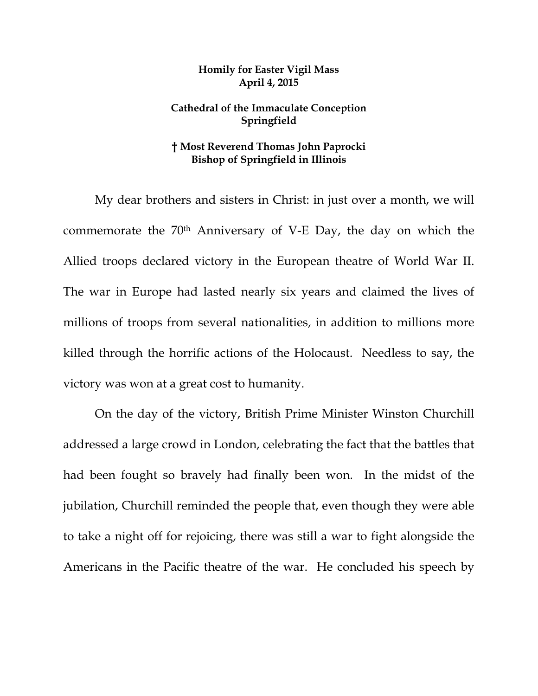## **Homily for Easter Vigil Mass April 4, 2015**

## **Cathedral of the Immaculate Conception Springfield**

## **† Most Reverend Thomas John Paprocki Bishop of Springfield in Illinois**

My dear brothers and sisters in Christ: in just over a month, we will commemorate the 70th Anniversary of V-E Day, the day on which the Allied troops declared victory in the European theatre of World War II. The war in Europe had lasted nearly six years and claimed the lives of millions of troops from several nationalities, in addition to millions more killed through the horrific actions of the Holocaust. Needless to say, the victory was won at a great cost to humanity.

 On the day of the victory, British Prime Minister Winston Churchill addressed a large crowd in London, celebrating the fact that the battles that had been fought so bravely had finally been won. In the midst of the jubilation, Churchill reminded the people that, even though they were able to take a night off for rejoicing, there was still a war to fight alongside the Americans in the Pacific theatre of the war. He concluded his speech by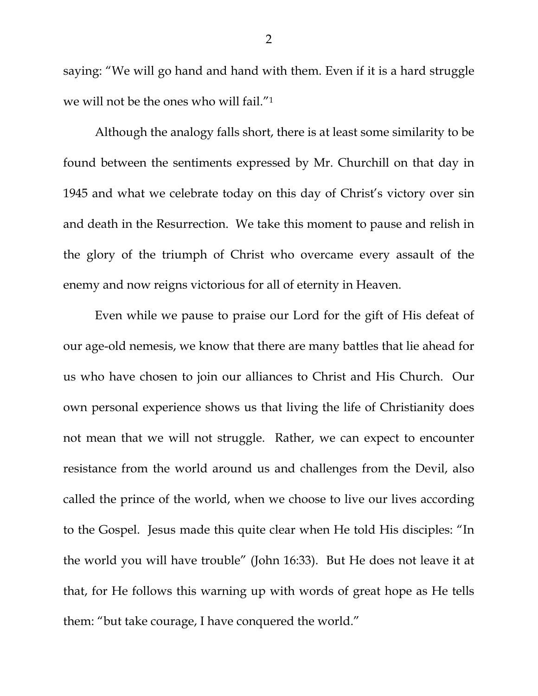saying: "We will go hand and hand with them. Even if it is a hard struggle we will not be the ones who will fail."1

 Although the analogy falls short, there is at least some similarity to be found between the sentiments expressed by Mr. Churchill on that day in 1945 and what we celebrate today on this day of Christ's victory over sin and death in the Resurrection. We take this moment to pause and relish in the glory of the triumph of Christ who overcame every assault of the enemy and now reigns victorious for all of eternity in Heaven.

 Even while we pause to praise our Lord for the gift of His defeat of our age-old nemesis, we know that there are many battles that lie ahead for us who have chosen to join our alliances to Christ and His Church. Our own personal experience shows us that living the life of Christianity does not mean that we will not struggle. Rather, we can expect to encounter resistance from the world around us and challenges from the Devil, also called the prince of the world, when we choose to live our lives according to the Gospel. Jesus made this quite clear when He told His disciples: "In the world you will have trouble" (John 16:33). But He does not leave it at that, for He follows this warning up with words of great hope as He tells them: "but take courage, I have conquered the world."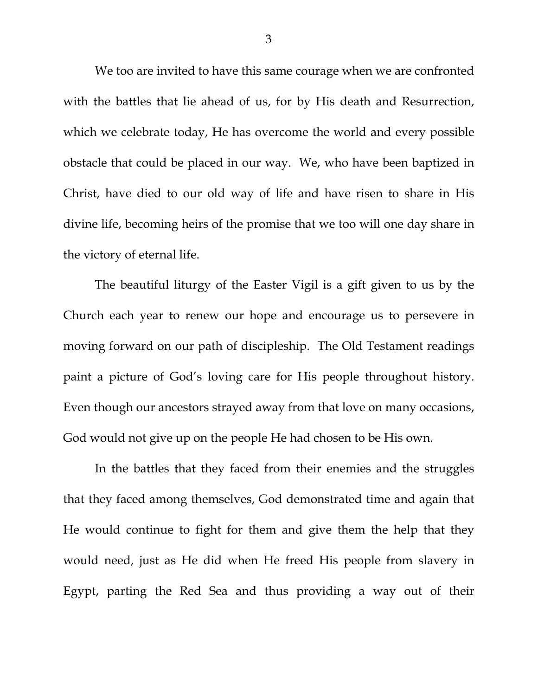We too are invited to have this same courage when we are confronted with the battles that lie ahead of us, for by His death and Resurrection, which we celebrate today, He has overcome the world and every possible obstacle that could be placed in our way. We, who have been baptized in Christ, have died to our old way of life and have risen to share in His divine life, becoming heirs of the promise that we too will one day share in the victory of eternal life.

 The beautiful liturgy of the Easter Vigil is a gift given to us by the Church each year to renew our hope and encourage us to persevere in moving forward on our path of discipleship. The Old Testament readings paint a picture of God's loving care for His people throughout history. Even though our ancestors strayed away from that love on many occasions, God would not give up on the people He had chosen to be His own.

 In the battles that they faced from their enemies and the struggles that they faced among themselves, God demonstrated time and again that He would continue to fight for them and give them the help that they would need, just as He did when He freed His people from slavery in Egypt, parting the Red Sea and thus providing a way out of their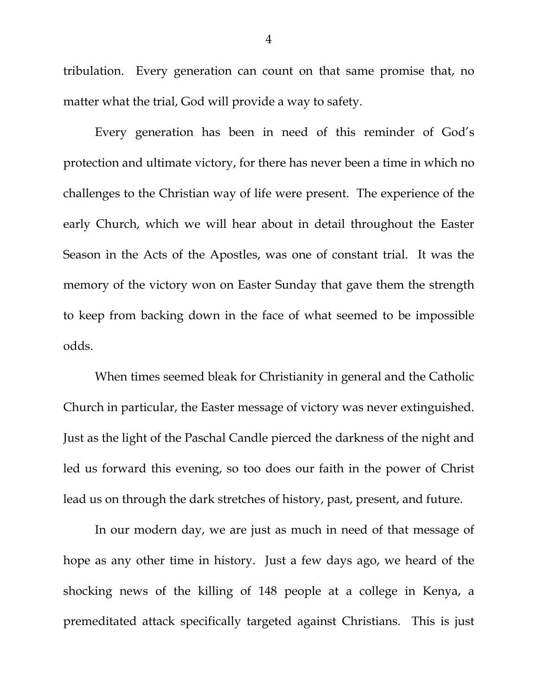tribulation. Every generation can count on that same promise that, no matter what the trial, God will provide a way to safety.

 Every generation has been in need of this reminder of God's protection and ultimate victory, for there has never been a time in which no challenges to the Christian way of life were present. The experience of the early Church, which we will hear about in detail throughout the Easter Season in the Acts of the Apostles, was one of constant trial. It was the memory of the victory won on Easter Sunday that gave them the strength to keep from backing down in the face of what seemed to be impossible odds.

 When times seemed bleak for Christianity in general and the Catholic Church in particular, the Easter message of victory was never extinguished. Just as the light of the Paschal Candle pierced the darkness of the night and led us forward this evening, so too does our faith in the power of Christ lead us on through the dark stretches of history, past, present, and future.

 In our modern day, we are just as much in need of that message of hope as any other time in history. Just a few days ago, we heard of the shocking news of the killing of 148 people at a college in Kenya, a premeditated attack specifically targeted against Christians. This is just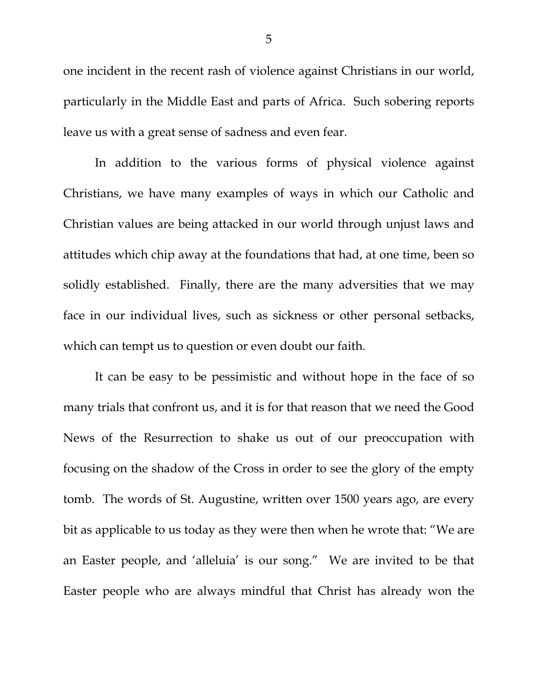one incident in the recent rash of violence against Christians in our world, particularly in the Middle East and parts of Africa. Such sobering reports leave us with a great sense of sadness and even fear.

 In addition to the various forms of physical violence against Christians, we have many examples of ways in which our Catholic and Christian values are being attacked in our world through unjust laws and attitudes which chip away at the foundations that had, at one time, been so solidly established. Finally, there are the many adversities that we may face in our individual lives, such as sickness or other personal setbacks, which can tempt us to question or even doubt our faith.

 It can be easy to be pessimistic and without hope in the face of so many trials that confront us, and it is for that reason that we need the Good News of the Resurrection to shake us out of our preoccupation with focusing on the shadow of the Cross in order to see the glory of the empty tomb. The words of St. Augustine, written over 1500 years ago, are every bit as applicable to us today as they were then when he wrote that: "We are an Easter people, and 'alleluia' is our song." We are invited to be that Easter people who are always mindful that Christ has already won the